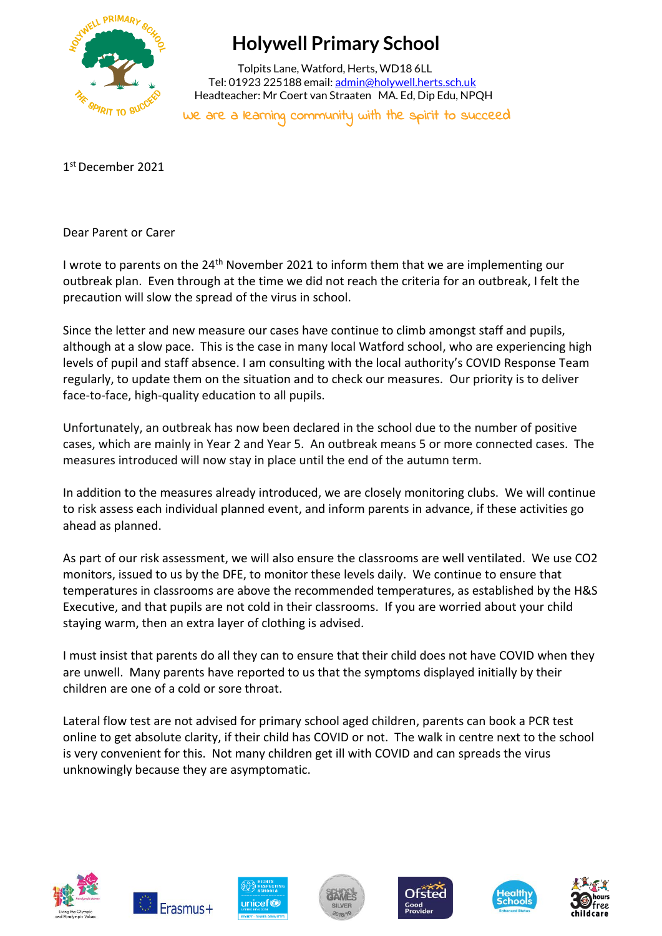

# **Holywell Primary School**

 Tolpits Lane, Watford, Herts, WD18 6LL Tel: 01923 225188 email[: admin@holywell.herts.sch.uk](mailto:admin@holywell.herts.sch.uk) Headteacher: Mr Coert van Straaten MA. Ed, Dip Edu, NPQH

We are a learning community with the spirit to succeed

1 st December 2021

Dear Parent or Carer

I wrote to parents on the 24th November 2021 to inform them that we are implementing our outbreak plan. Even through at the time we did not reach the criteria for an outbreak, I felt the precaution will slow the spread of the virus in school.

Since the letter and new measure our cases have continue to climb amongst staff and pupils, although at a slow pace. This is the case in many local Watford school, who are experiencing high levels of pupil and staff absence. I am consulting with the local authority's COVID Response Team regularly, to update them on the situation and to check our measures. Our priority is to deliver face-to-face, high-quality education to all pupils.

Unfortunately, an outbreak has now been declared in the school due to the number of positive cases, which are mainly in Year 2 and Year 5. An outbreak means 5 or more connected cases. The measures introduced will now stay in place until the end of the autumn term.

In addition to the measures already introduced, we are closely monitoring clubs. We will continue to risk assess each individual planned event, and inform parents in advance, if these activities go ahead as planned.

As part of our risk assessment, we will also ensure the classrooms are well ventilated. We use CO2 monitors, issued to us by the DFE, to monitor these levels daily. We continue to ensure that temperatures in classrooms are above the recommended temperatures, as established by the H&S Executive, and that pupils are not cold in their classrooms. If you are worried about your child staying warm, then an extra layer of clothing is advised.

I must insist that parents do all they can to ensure that their child does not have COVID when they are unwell. Many parents have reported to us that the symptoms displayed initially by their children are one of a cold or sore throat.

Lateral flow test are not advised for primary school aged children, parents can book a PCR test online to get absolute clarity, if their child has COVID or not. The walk in centre next to the school is very convenient for this. Not many children get ill with COVID and can spreads the virus unknowingly because they are asymptomatic.













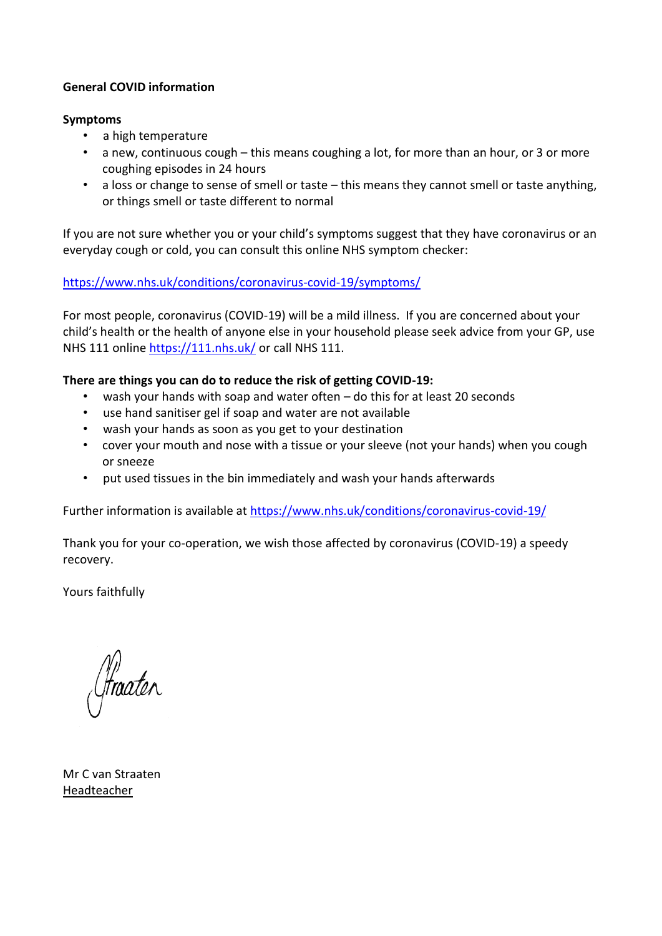### **General COVID information**

#### **Symptoms**

- a high temperature
- a new, continuous cough this means coughing a lot, for more than an hour, or 3 or more coughing episodes in 24 hours
- a loss or change to sense of smell or taste this means they cannot smell or taste anything, or things smell or taste different to normal

If you are not sure whether you or your child's symptoms suggest that they have coronavirus or an everyday cough or cold, you can consult this online NHS symptom checker:

### <https://www.nhs.uk/conditions/coronavirus-covid-19/symptoms/>

For most people, coronavirus (COVID-19) will be a mild illness. If you are concerned about your child's health or the health of anyone else in your household please seek advice from your GP, use NHS 111 online<https://111.nhs.uk/> or call NHS 111.

### **There are things you can do to reduce the risk of getting COVID-19:**

- wash your hands with soap and water often do this for at least 20 seconds
- use hand sanitiser gel if soap and water are not available
- wash your hands as soon as you get to your destination
- cover your mouth and nose with a tissue or your sleeve (not your hands) when you cough or sneeze
- put used tissues in the bin immediately and wash your hands afterwards

Further information is available at<https://www.nhs.uk/conditions/coronavirus-covid-19/>

Thank you for your co-operation, we wish those affected by coronavirus (COVID-19) a speedy recovery.

Yours faithfully

(fraater

Mr C van Straaten Headteacher